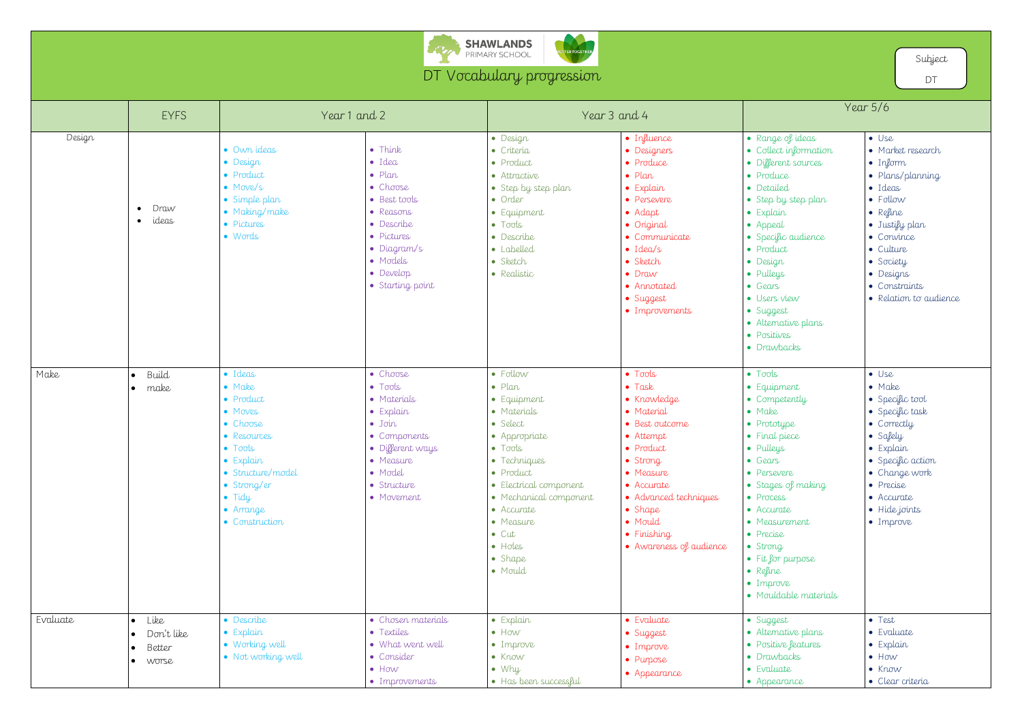

## DT Vocabulary progression

TTER TOGETHER

|          | <b>EYFS</b>                                                               | Year 1 and 2                                                                                                                                                                              |                                                                                                                                                                                      | Year 3 and 4                                                                                                                                                                                                                                                                   |                                                                                                                                                                                                                                                    | Year $5/6$                                                                                                                                                                                                                                                                                                         |                                                                                                                                                                                                                                 |
|----------|---------------------------------------------------------------------------|-------------------------------------------------------------------------------------------------------------------------------------------------------------------------------------------|--------------------------------------------------------------------------------------------------------------------------------------------------------------------------------------|--------------------------------------------------------------------------------------------------------------------------------------------------------------------------------------------------------------------------------------------------------------------------------|----------------------------------------------------------------------------------------------------------------------------------------------------------------------------------------------------------------------------------------------------|--------------------------------------------------------------------------------------------------------------------------------------------------------------------------------------------------------------------------------------------------------------------------------------------------------------------|---------------------------------------------------------------------------------------------------------------------------------------------------------------------------------------------------------------------------------|
| Design   | Draw<br>$\bullet$<br>ideas<br>$\bullet$                                   | • Own ideas<br>• Design<br>• Product<br>• Move/s<br>· Simple plan<br>• Making/make<br>· Pictures<br>$\bullet$ Words                                                                       | $\bullet$ Think<br>$\bullet$ Idea<br>$\bullet$ Plan<br>• Choose<br>· Best tools<br>· Reasons<br>• Describe<br>· Pictures<br>· Diagram/s<br>• Models<br>· Develop<br>• Starting point | · Design<br>· Criteria<br>• Product<br>• Attractive<br>· Step by step plan<br>• Order<br>• Equipment<br>$\bullet$ Tools<br>• Describe<br>· Labelled<br>· Sketch<br>• Realistic                                                                                                 | · Influence<br>· Designers<br>• Produce<br>$\bullet$ Plan<br>· Explain<br>• Persevere<br>$\bullet$ Adapt<br>• Original<br>• Communicate<br>$\bullet$ Idea/s<br>· Sketch<br>$\bullet$ Draw<br>• Annotated<br>· Suggest<br>• Improvements            | • Range of ideas<br>• Collect information<br>· Different sources<br>• Produce<br>· Detailed<br>• Step by step plan<br>· Explain<br>$\bullet$ Appeal<br>· Specific audience<br>• Product<br>· Design<br>· Pulleys<br>• Gears<br>· Users view<br>• Suggest<br>• Alternative plans<br>· Positives<br>• Drawbacks      | $\bullet$ Use<br>• Market research<br>$\bullet$ Inform<br>· Plans/planning<br>· Ideas<br>• Follow<br>• Refine<br>· Justify plan<br>• Convince<br>• Culture<br>· Society<br>• Designs<br>• Constraints<br>• Relation to audience |
| Make     | Build<br>make<br>$\bullet$                                                | · Ideas<br>• Make<br>• Product<br>• Moves<br>• Choose<br>• Resources<br>$\bullet$ Tools<br>· Explain<br>· Structure/model<br>• Strong/er<br>$\bullet$ Tidy<br>• Arrange<br>• Construction | • Choose<br>$\bullet$ Tools<br>• Materials<br>· Explain<br>$\bullet$ Join<br>• Components<br>· Different ways<br>• Measure<br>· Model<br>· Structure<br>• Movement                   | · Follow<br>$\bullet$ Plan<br>• Equipment<br>• Materials<br>· Select<br>• Appropriate<br>$\bullet$ Tools<br>• Techniques<br>• Product<br>· Electrical component<br>• Mechanical component<br>• Accurate<br>• Measure<br>$\bullet$ Cut<br>$\bullet$ Holes<br>• Shape<br>· Mould | $\bullet$ Tools<br>$\bullet$ Task<br>• Knowledge<br>• Material<br>· Best outcome<br>• Attempt<br>• Product<br>· Strong<br>• Measure<br>• Accurate<br>• Advanced techniques<br>$\bullet$ Shape<br>· Mould<br>• Finishing<br>• Awareness of audience | $\bullet$ Tools<br>• Equipment<br>• Competently<br>$\bullet$ Make<br>• Prototype<br>• Final piece<br>• Pulleys<br>• Gears<br>• Persevere<br>· Stages of making<br>• Process<br>• Accurate<br>• Measurement<br>• Precise<br>$\bullet$ Strong<br>• Fit for purpose<br>• Refine<br>· Improve<br>• Mouldable materials | $\bullet$ Use<br>• Make<br>• Specific tool<br>• Specific task<br>• Correctly<br>· Safely<br>$\bullet$ Explain<br>• Specific action<br>• Change work<br>• Precise<br>• Accurate<br>· Hide joints<br>· Improve                    |
| Evaluate | $\bullet$ Like<br>Don't like<br>Better<br>$\bullet$<br>worse<br>$\bullet$ | • Describe<br>$\bullet$ Explain<br>• Working well<br>• Not working well                                                                                                                   | • Chosen materials<br>• Textiles<br>• What went well<br>• Consider<br>$\bullet$ How<br>• Improvements                                                                                | · Explain<br>$\bullet$ How<br>· Improve<br>$\bullet$ Know<br>$\bullet$ Why<br>· Has been successful                                                                                                                                                                            | • Evaluate<br>· Suggest<br>· Improve<br>• Purpose<br>• Appearance                                                                                                                                                                                  | • Suggest<br>• Alternative plans<br>• Positive features<br>· Drawbacks<br>• Evaluate<br>• Appearance                                                                                                                                                                                                               | • Test<br>• Evaluate<br>· Explain<br>$\bullet$ How<br>$\bullet$ Know<br>• Clear criteria                                                                                                                                        |

Subject

DT